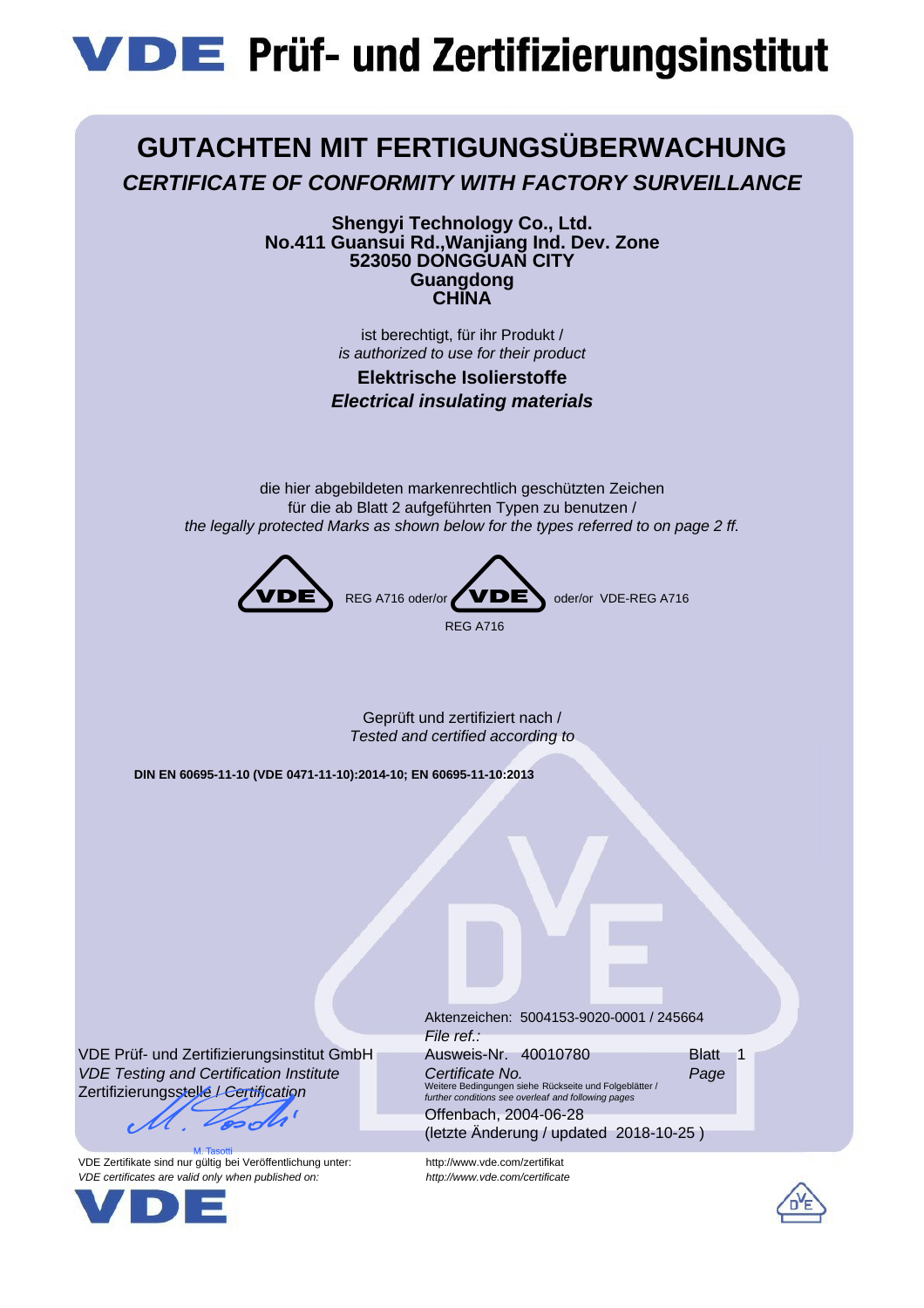# **VDE** Prüf- und Zertifizierungsinstitut



**Shengyi Technology Co., Ltd. No.411 Guansui Rd.,Wanjiang Ind. Dev. Zone 523050 DONGGUAN CITY Guangdong CHINA**

> ist berechtigt, für ihr Produkt / *is authorized to use for their product*

**Elektrische Isolierstoffe** *Electrical insulating materials*

die hier abgebildeten markenrechtlich geschützten Zeichen für die ab Blatt 2 aufgeführten Typen zu benutzen / *the legally protected Marks as shown below for the types referred to on page 2 ff.*



Geprüft und zertifiziert nach / *Tested and certified according to*

**DIN EN 60695-11-10 (VDE 0471-11-10):2014-10; EN 60695-11-10:2013**

VDE Prüf- und Zertifizierungsinstitut GmbH *VDE Testing and Certification Institute* Zertifizierungsstelle / *Certification*

VDE Zertifikate sind nur gültig bei Veröffentlichung unter: http://www.vde.com/zertifikat *VDE certificates are valid only when published on: http://www.vde.com/certificate*



Aktenzeichen: 5004153-9020-0001 / 245664 *File ref.:* Ausweis-Nr. 40010780 **Blatt** 1 *Certificate No. Page* Weitere Bedingungen siehe Rückseite und Folgeblätter / *further conditions see overleaf and following pages*

Offenbach, 2004-06-28 (letzte Änderung / updated 2018-10-25 )

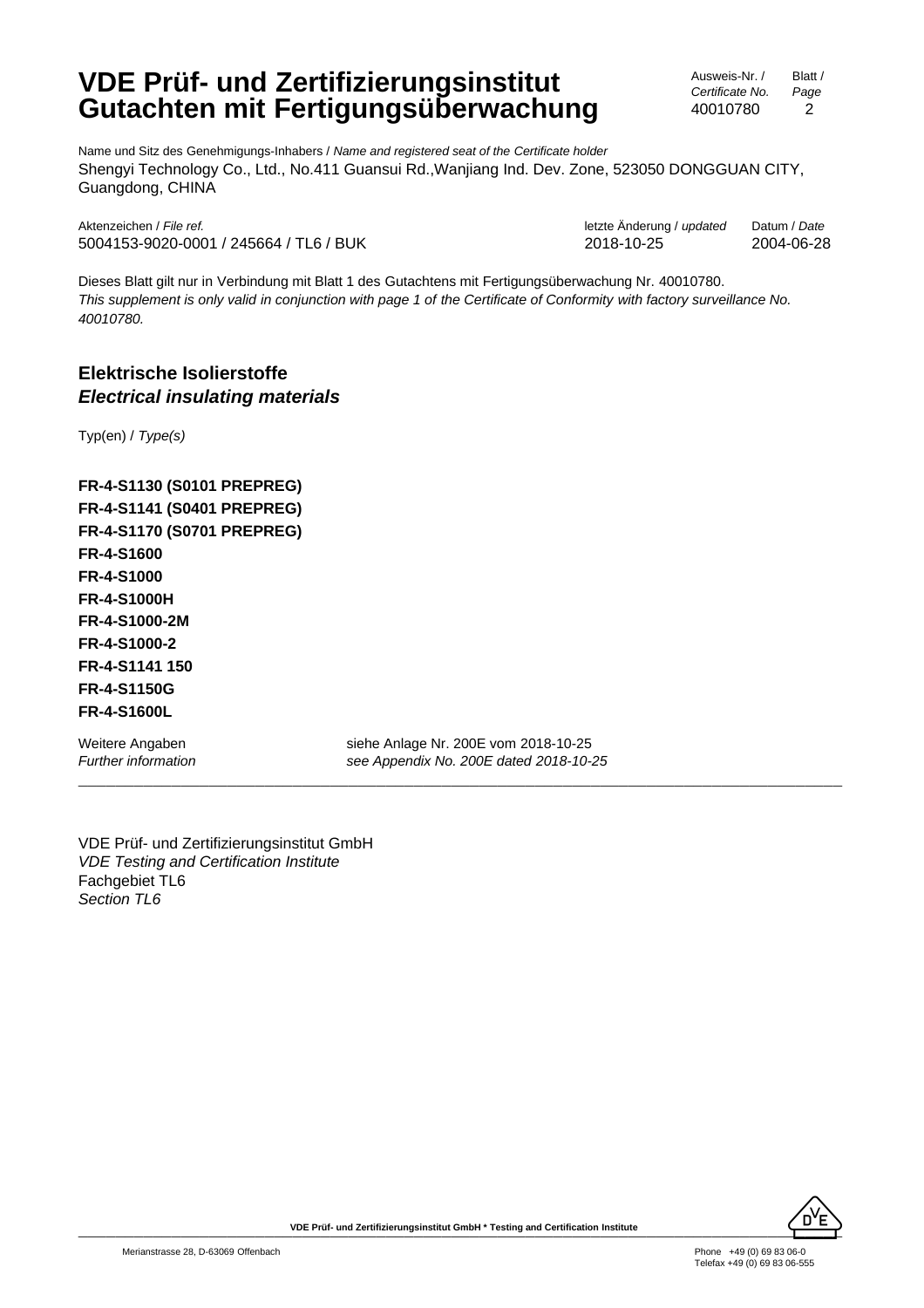## **VDE Prüf- und Zertifizierungsinstitut Gutachten mit Fertigungsüberwachung**

Ausweis-Nr. / *Certificate No.* 40010780 Blatt / *Page* 2

Name und Sitz des Genehmigungs-Inhabers / *Name and registered seat of the Certificate holder* Shengyi Technology Co., Ltd., No.411 Guansui Rd.,Wanjiang Ind. Dev. Zone, 523050 DONGGUAN CITY, Guangdong, CHINA

Aktenzeichen / *File ref.* letzte Änderung / *updated* Datum / *Date* 5004153-9020-0001 / 245664 / TL6 / BUK 2018-10-25 2004-06-28

Dieses Blatt gilt nur in Verbindung mit Blatt 1 des Gutachtens mit Fertigungsüberwachung Nr. 40010780. *This supplement is only valid in conjunction with page 1 of the Certificate of Conformity with factory surveillance No. 40010780.*

## **Elektrische Isolierstoffe** *Electrical insulating materials*

Typ(en) / *Type(s)*

**FR-4-S1130 (S0101 PREPREG) FR-4-S1141 (S0401 PREPREG) FR-4-S1170 (S0701 PREPREG) FR-4-S1600 FR-4-S1000 FR-4-S1000H FR-4-S1000-2M FR-4-S1000-2 FR-4-S1141 150 FR-4-S1150G FR-4-S1600L**

Weitere Angaben siehe Anlage Nr. 200E vom 2018-10-25 *Further information see Appendix No. 200E dated 2018-10-25*

\_\_\_\_\_\_\_\_\_\_\_\_\_\_\_\_\_\_\_\_\_\_\_\_\_\_\_\_\_\_\_\_\_\_\_\_\_\_\_\_\_\_\_\_\_\_\_\_\_\_\_\_\_\_\_\_\_\_\_\_\_\_\_\_\_\_\_\_\_\_\_\_\_\_\_\_\_\_\_\_\_\_

VDE Prüf- und Zertifizierungsinstitut GmbH *VDE Testing and Certification Institute* Fachgebiet TL6 *Section TL6*

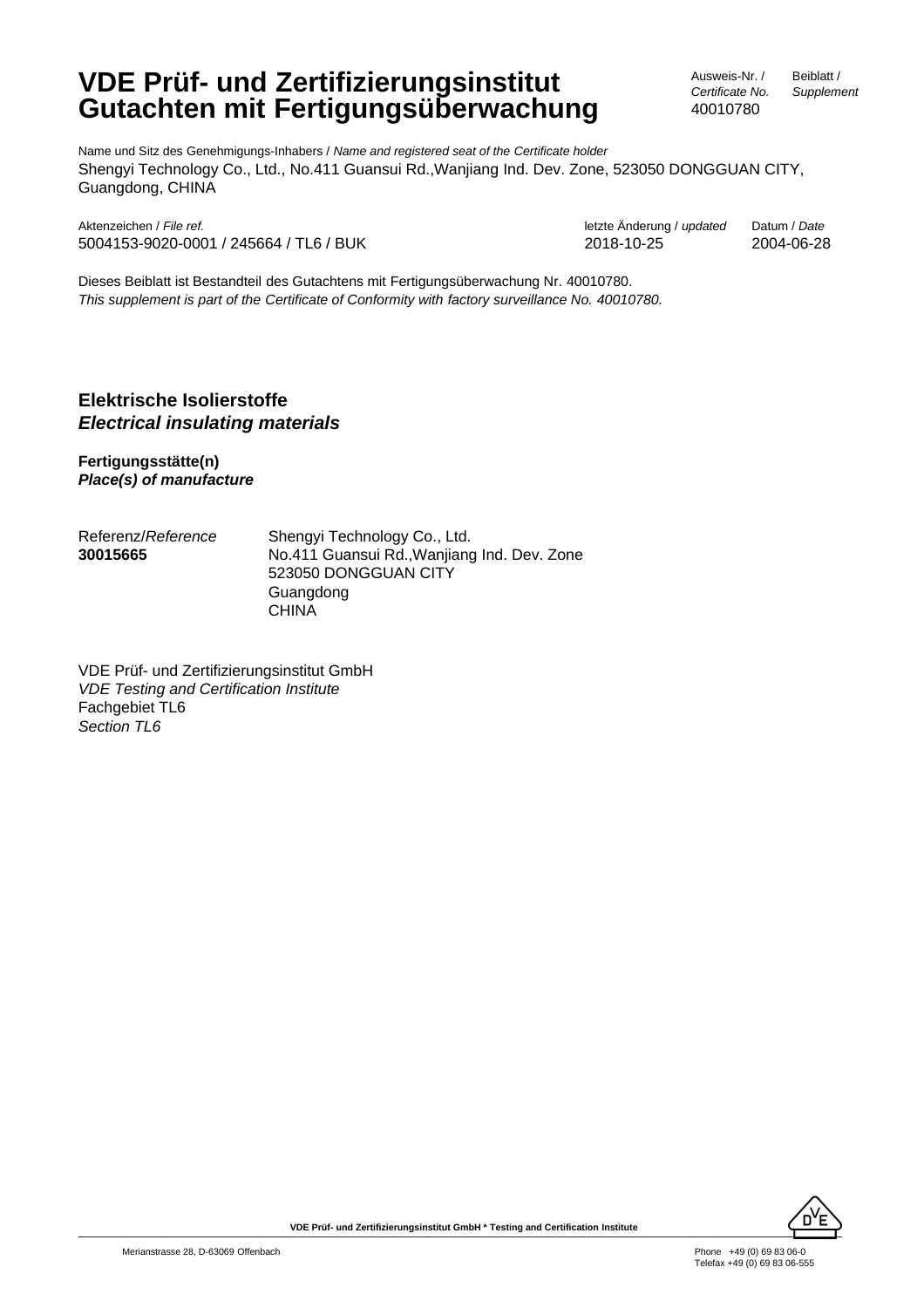# **VDE Prüf- und Zertifizierungsinstitut Gutachten mit Fertigungsüberwachung**

Ausweis-Nr. / *Certificate No.* Beiblatt / *Supplement*

40010780

Name und Sitz des Genehmigungs-Inhabers / *Name and registered seat of the Certificate holder* Shengyi Technology Co., Ltd., No.411 Guansui Rd.,Wanjiang Ind. Dev. Zone, 523050 DONGGUAN CITY, Guangdong, CHINA

Aktenzeichen / *File ref.* letzte Änderung / *updated* Datum / *Date* 5004153-9020-0001 / 245664 / TL6 / BUK 2018-10-25 2004-06-28

Dieses Beiblatt ist Bestandteil des Gutachtens mit Fertigungsüberwachung Nr. 40010780. *This supplement is part of the Certificate of Conformity with factory surveillance No. 40010780.*

## **Elektrische Isolierstoffe** *Electrical insulating materials*

**Fertigungsstätte(n)** *Place(s) of manufacture*

| Referenz/ <i>Reference</i> | Shengyi Technology Co., Ltd.                |
|----------------------------|---------------------------------------------|
| 30015665                   | No.411 Guansui Rd., Wanjiang Ind. Dev. Zone |
|                            | 523050 DONGGUAN CITY                        |
|                            | Guangdong                                   |
|                            | <b>CHINA</b>                                |

VDE Prüf- und Zertifizierungsinstitut GmbH *VDE Testing and Certification Institute* Fachgebiet TL6 *Section TL6*